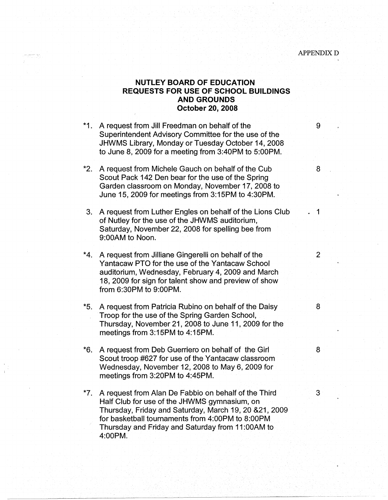## **NUTLEY BOARD OF EDUCATION REQUESTS FOR USE OF SCHOOL BUILDINGS AND GROUNDS October 20, 2008**

\*1. A request from Jill Freedman on behalf of the 19 metal 19 metal 19 metal 19 metal 19 metal 19 metal 19 metal 19 metal 19 metal 19 metal 19 metal 19 metal 19 metal 19 metal 19 metal 19 metal 19 metal 19 metal 19 metal 1 Superintendent Advisory Committee for the use of the JHWMS Library, Monday or Tuesday October 14, 2008 to June 8, 2009 for a meeting from 3:40PM to 5:00PM. \*2. A request from Michele Gauch on behalf of the Cub 8 Scout Pack 142 Den bear for the use of the Spring Garden classroom on Monday, November 17, 2008 to June 15, 2009 for meetings from 3:15PM to 4:30PM. 3. A request from Luther Engles on behalf of the Lions Club . 1 of Nutley for the use of the JHWMS auditorium, Saturday, November 22, 2008 for spelling bee from 9:00AM to Noon. \*4. A request from Jilliane Gingerelli on behalf of the 2 Yantacaw PTO for the use of the Yantacaw School auditorium, Wednesday, February 4, 2009 and March 18, 2009 for sign for talent show and preview of show from 6:30PM to 9:00PM. \*5. A request from Patricia Rubino on behalf of the Daisy 8 Troop for the use of the Spring Garden School, Thursday, November 21, 2008 to June 11, 2009 for the meetings from 3:15PM to 4:15PM. \*6. A request from Deb Guerriero on behalf of the Girl  $\sim$  8 Scout troop #627 for use of the Yantacaw classroom Wednesday, November 12, 2008 to May 6, 2009 for meetings from 3:20PM to 4:45PM. \*7. A request from Alan De Fabbio on behalf of the Third 3 Half Club for use of the JHWMS gymnasium, on Thursday, Friday and Saturday, March 19, 20 &21, 2009 for basketball tournaments from 4:00PM to 8:00PM Thursday and Friday and Saturday from 11 :00AM to

4:00PM.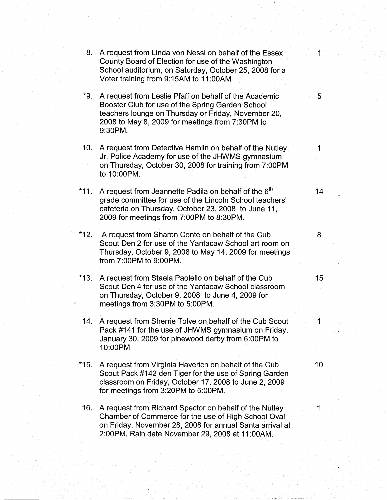| 8.     | A request from Linda von Nessi on behalf of the Essex<br>County Board of Election for use of the Washington<br>School auditorium, on Saturday, October 25, 2008 for a<br>Voter training from 9:15AM to 11:00AM                 | 1  |
|--------|--------------------------------------------------------------------------------------------------------------------------------------------------------------------------------------------------------------------------------|----|
| *9.    | A request from Leslie Pfaff on behalf of the Academic<br>Booster Club for use of the Spring Garden School<br>teachers lounge on Thursday or Friday, November 20,<br>2008 to May 8, 2009 for meetings from 7:30PM to<br>9:30PM. | 5  |
| 10.    | A request from Detective Hamlin on behalf of the Nutley<br>Jr. Police Academy for use of the JHWMS gymnasium<br>on Thursday, October 30, 2008 for training from 7:00PM<br>to 10:00PM.                                          | 1  |
| $*11.$ | A request from Jeannette Padila on behalf of the 6 <sup>th</sup><br>grade committee for use of the Lincoln School teachers'<br>cafeteria on Thursday, October 23, 2008 to June 11,<br>2009 for meetings from 7:00PM to 8:30PM. | 14 |
|        | *12. A request from Sharon Conte on behalf of the Cub<br>Scout Den 2 for use of the Yantacaw School art room on<br>Thursday, October 9, 2008 to May 14, 2009 for meetings<br>from 7:00PM to 9:00PM.                            | 8  |
| $*13.$ | A request from Staela Paolello on behalf of the Cub<br>Scout Den 4 for use of the Yantacaw School classroom<br>on Thursday, October 9, 2008 to June 4, 2009 for<br>meetings from 3:30PM to 5:00PM.                             | 15 |
| 14.    | A request from Sherrie Tolve on behalf of the Cub Scout<br>Pack #141 for the use of JHWMS gymnasium on Friday,<br>January 30, 2009 for pinewood derby from 6:00PM to<br>10:00PM                                                | 1  |
| $*15.$ | A request from Virginia Haverich on behalf of the Cub<br>Scout Pack #142 den Tiger for the use of Spring Garden<br>classroom on Friday, October 17, 2008 to June 2, 2009<br>for meetings from 3:20PM to 5:00PM.                | 10 |
| 16.    | A request from Richard Spector on behalf of the Nutley<br>Chamber of Commerce for the use of High School Oval<br>on Friday, November 28, 2008 for annual Santa arrival at<br>2:00PM. Rain date November 29, 2008 at 11:00AM.   | 1  |
|        |                                                                                                                                                                                                                                |    |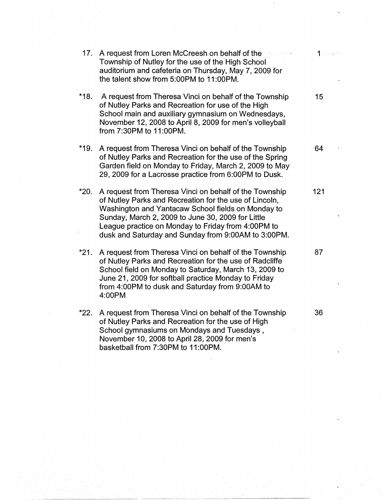| 17.    | A request from Loren McCreesh on behalf of the contraction of the state of the<br>Township of Nutley for the use of the High School<br>auditorium and cafeteria on Thursday, May 7, 2009 for<br>the talent show from 5:00PM to 11:00PM.                                                                                                  |     |
|--------|------------------------------------------------------------------------------------------------------------------------------------------------------------------------------------------------------------------------------------------------------------------------------------------------------------------------------------------|-----|
| $*18.$ | A request from Theresa Vinci on behalf of the Township<br>of Nutley Parks and Recreation for use of the High<br>School main and auxiliary gymnasium on Wednesdays,<br>November 12, 2008 to April 8, 2009 for men's volleyball<br>from 7:30PM to 11:00PM.                                                                                 | 15  |
| *19.   | A request from Theresa Vinci on behalf of the Township<br>of Nutley Parks and Recreation for the use of the Spring<br>Garden field on Monday to Friday, March 2, 2009 to May<br>29, 2009 for a Lacrosse practice from 6:00PM to Dusk.                                                                                                    | 64  |
| *20.   | A request from Theresa Vinci on behalf of the Township<br>of Nutley Parks and Recreation for the use of Lincoln,<br>Washington and Yantacaw School fields on Monday to<br>Sunday, March 2, 2009 to June 30, 2009 for Little<br>League practice on Monday to Friday from 4:00PM to<br>dusk and Saturday and Sunday from 9:00AM to 3:00PM. | 121 |
| $*21.$ | A request from Theresa Vinci on behalf of the Township<br>of Nutley Parks and Recreation for the use of Radcliffe<br>School field on Monday to Saturday, March 13, 2009 to<br>June 21, 2009 for softball practice Monday to Friday<br>from 4:00PM to dusk and Saturday from 9:00AM to<br>4:00PM                                          | 87  |
| $*22.$ | A request from Theresa Vinci on behalf of the Township<br>of Nutley Parks and Recreation for the use of High<br>School gymnasiums on Mondays and Tuesdays,<br>November 10, 2008 to April 28, 2009 for men's                                                                                                                              | 36  |

basketball from 7:30PM to 11 :00PM.